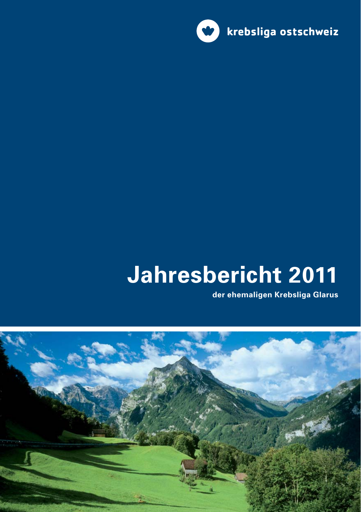

# Jahresbericht 2011

der ehemaligen Krebsliga Glarus

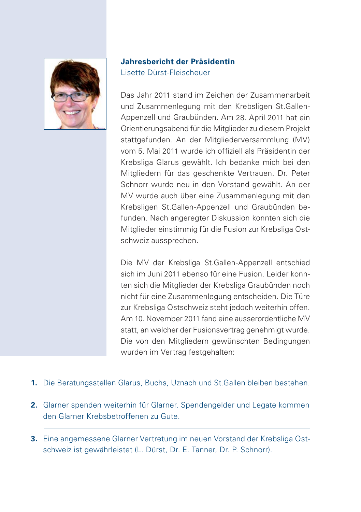

#### Jahresbericht der Präsidentin Lisette Dürst-Fleischeuer

Das Jahr 2011 stand im Zeichen der Zusammenarbeit und Zusammenlegung mit den Krebsligen St.Gallen-Appenzell und Graubünden. Am 28. April 2011 hat ein Orientierungsabend für die Mitglieder zu diesem Projekt stattgefunden. An der Mitgliederversammlung (MV) vom 5 Mai 2011 wurde ich offiziell als Präsidentin der Krebsliga Glarus gewählt. Ich bedanke mich bei den Mitgliedern für das geschenkte Vertrauen. Dr. Peter Schnorr wurde neu in den Vorstand gewählt. An der MV wurde auch über eine Zusammenlegung mit den Krebsligen St.Gallen-Appenzell und Graubünden befunden. Nach angeregter Diskussion konnten sich die Mitglieder einstimmig für die Fusion zur Krebsliga Ostschweiz aussprechen.

Die MV der Krebsliga St. Gallen-Appenzell entschied sich im Juni 2011 ebenso für eine Fusion Leider konnten sich die Mitglieder der Krebsliga Graubünden noch nicht für eine Zusammenlegung entscheiden. Die Türe zur Krebsliga Ostschweiz steht jedoch weiterhin offen. Am 10. November 2011 fand eine ausserordentliche MV statt, an welcher der Fusionsvertrag genehmigt wurde. Die von den Mitgliedern gewünschten Bedingungen wurden im Vertrag festgehalten:

- 1. Die Beratungsstellen Glarus, Buchs, Uznach und St. Gallen bleiben bestehen.
- 2. Glarner spenden weiterhin für Glarner. Spendengelder und Legate kommen den Glarner Krebsbetroffenen zu Gute
- 3. Eine angemessene Glarner Vertretung im neuen Vorstand der Krebsliga Ostschweiz ist gewährleistet (L. Dürst, Dr. E. Tanner, Dr. P. Schnorr).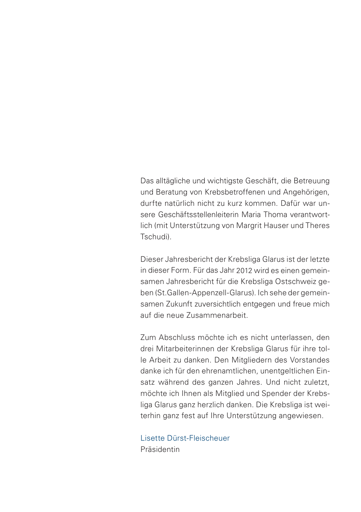Das alltägliche und wichtigste Geschäft, die Betreuung und Beratung von Krebsbetroffenen und Angehörigen, durfte natürlich nicht zu kurz kommen. Dafür war unsere Geschäftsstellenleiterin Maria Thoma verantwortlich (mit Unterstützung von Margrit Hauser und Theres Tschudi)

Dieser Jahresbericht der Krebsliga Glarus ist der letzte in dieser Form. Für das Jahr 2012 wird es einen gemeinsamen Jahresbericht für die Krebsliga Ostschweiz geben (St. Gallen-Appenzell-Glarus). Ich sehe der gemeinsamen Zukunft zuversichtlich entgegen und freue mich auf die neue Zusammenarheit

Zum Abschluss möchte ich es nicht unterlassen, den drei Mitarbeiterinnen der Krebsliga Glarus für ihre tolle Arbeit zu danken. Den Mitgliedern des Vorstandes danke ich für den ehrenamtlichen, unentgeltlichen Einsatz während des ganzen Jahres. Und nicht zuletzt, möchte ich Ihnen als Mitglied und Spender der Krebsliga Glarus ganz herzlich danken. Die Krebsliga ist weiterhin ganz fest auf Ihre Unterstützung angewiesen.

Lisette Dürst-Fleischeuer Präsidentin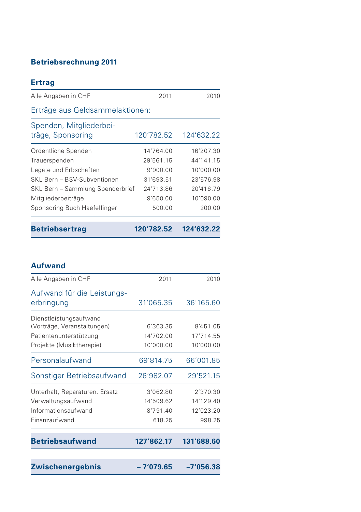# **Betriebsrechnung 2011**

| <b>Ertrag</b>                                |            |            |
|----------------------------------------------|------------|------------|
| Alle Angaben in CHF                          | 2011       | 2010       |
| Erträge aus Geldsammelaktionen:              |            |            |
| Spenden, Mitgliederbei-<br>träge, Sponsoring | 120'782.52 | 124'632.22 |
| Ordentliche Spenden                          | 14'764.00  | 16'207.30  |
| Trauerspenden                                | 29'561.15  | 44'141 15  |
| Legate und Erbschaften                       | 9'900.00   | 10'000.00  |
| SKL Bern - BSV-Subventionen                  | 31'693.51  | 23'576.98  |
| SKL Bern - Sammlung Spenderbrief             | 24'713.86  | 20'416.79  |
| Mitgliederbeiträge                           | 9'650.00   | 10'090.00  |
| Sponsoring Buch Haefelfinger                 | 500.00     | 200.00     |
| <b>Betriebsertrag</b>                        | 120'782.52 | 124'632.22 |

#### **Aufwand**

| <b>Zwischenergebnis</b>                               | $-7'079.65$           | $-7'056.38$           |
|-------------------------------------------------------|-----------------------|-----------------------|
| <b>Betriebsaufwand</b>                                | 127'862.17            | 131'688.60            |
| Finanzaufwand                                         | 618.25                | 998.25                |
| Informationsaufwand                                   | 8'791.40              | 12'023.20             |
| Unterhalt, Reparaturen, Ersatz<br>Verwaltungsaufwand  | 3'062.80<br>14'509.62 | 2'370.30<br>14'129.40 |
| Sonstiger Betriebsaufwand                             | 26'982.07             | 29'521.15             |
| Personalaufwand                                       | 69'814.75             | 66'001.85             |
| Projekte (Musiktherapie)                              | 10'000.00             | 10'000.00             |
| Patientenunterstützung                                | 14'702.00             | 17'714.55             |
| Dienstleistungsaufwand<br>(Vorträge, Veranstaltungen) | 6'363.35              | 8'451.05              |
| Aufwand für die Leistungs-<br>erbringung              | 31'065.35             | 36'165.60             |
| Alle Angaben in CHF                                   | 2011                  | 2010                  |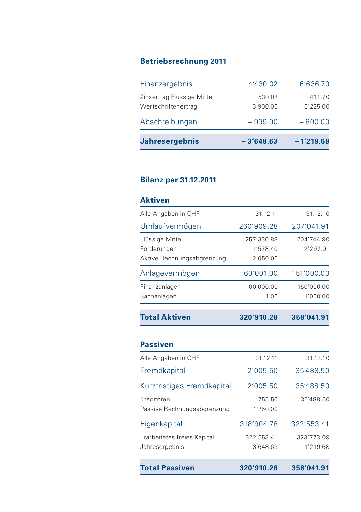# **Betriebsrechnung 2011**

| <b>Jahresergebnis</b>                             | $-3'648.63$        | $-1'219.68$        |
|---------------------------------------------------|--------------------|--------------------|
| Abschreibungen                                    | $-999.00$          | $-800.00$          |
| Zinsertrag Flüssige Mittel<br>Wertschriftenertrag | 530.02<br>3'900.00 | 411.70<br>6'225.00 |
| Finanzergebnis                                    | 4'430.02           | 6'636.70           |

#### **Bilanz per 31.12.2011**

| <b>Aktiven</b> |
|----------------|
|                |

| <b>Total Aktiven</b>       | 320'910.28 | 358'041.91 |
|----------------------------|------------|------------|
| Sachanlagen                | 1.00       | 1'000.00   |
| Finanzanlagen              | 60'000.00  | 150'000.00 |
| Anlagevermögen             | 60'001.00  | 151'000.00 |
| Aktive Rechnungsabgrenzung | 2'050.00   |            |
| Forderungen                | 1'528.40   | 2'297.01   |
| Flüssige Mittel            | 257'330.88 | 204'744.90 |
| Umlaufvermögen             | 260'909.28 | 207'041.91 |
| Alle Angaben in CHF        | 31.12.11   | 31.12.10   |

| <b>Total Passiven</b>       | 320'910.28  | 358'041.91  |
|-----------------------------|-------------|-------------|
| Jahresergebnis              | $-3'648.63$ | $-1'219.68$ |
| Erarbeitetes freies Kapital | 322'553.41  | 323'773.09  |
| Eigenkapital                | 318'904.78  | 322'553.41  |
| Passive Rechnungsabgrenzung | 1'250.00    |             |
| Kreditoren                  | 755.50      | 35'488.50   |
| Kurzfristiges Fremdkapital  | 2'005.50    | 35'488.50   |
| Fremdkapital                | 2'005.50    | 35'488.50   |
| Alle Angaben in CHF         | 31.12.11    | 31.12.10    |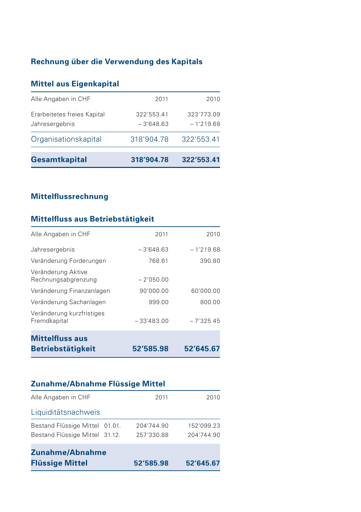# Rechnung über die Verwendung des Kapitals

## **Mittel aus Eigenkapital**

| <b>Gesamtkapital</b>                          | 318'904.78                | 322'553.41                |
|-----------------------------------------------|---------------------------|---------------------------|
| Organisationskapital                          | 318'904.78                | 322'553.41                |
| Erarbeitetes freies Kapital<br>Jahresergebnis | 322'553.41<br>$-3'648.63$ | 323'773.09<br>$-1'219.68$ |
| Alle Angaben in CHF                           | 2011                      | 2010                      |

## **Mittelflussrechnung**

## Mittelfluss aus Betriebstätigkeit

| <b>Betriebstätigkeit</b>                  | 52'585.98    | 52'645.67   |
|-------------------------------------------|--------------|-------------|
| <b>Mittelfluss aus</b>                    |              |             |
| Veränderung kurzfristiges<br>Fremdkapital | $-33'483.00$ | $-7'325.45$ |
| Veränderung Sachanlagen                   | 999.00       | 800.00      |
| Veränderung Finanzanlagen                 | 90'000.00    | 60'000.00   |
| Veränderung Aktive<br>Rechnungsabgrenzung | $-2'050.00$  |             |
| Veränderung Forderungen                   | 768.61       | 390.80      |
| Jahresergebnis                            | $-3'648.63$  | $-1'219.68$ |
| Alle Angaben in CHF                       | 2011         | 2010        |

## Zunahme/Abnahme Flüssige Mittel

| Alle Angaben in CHF                                              | 2011                     | 2010                     |
|------------------------------------------------------------------|--------------------------|--------------------------|
| Liquiditätsnachweis                                              |                          |                          |
| Bestand Flüssige Mittel 01.01.<br>Bestand Flüssige Mittel 31.12. | 204'744.90<br>257'330.88 | 152'099.23<br>204'744.90 |
| Zunahme/Abnahme<br><b>Flüssige Mittel</b>                        | 52'585.98                | 52'645.67                |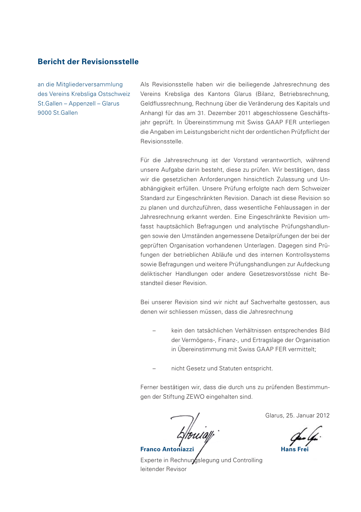#### **Bericht der Revisionsstelle**

an die Mitgliederversammlung des Vereins Krebsliga Ostschweiz St.Gallen - Appenzell - Glarus 9000 St Gallen

Als Revisionsstelle haben wir die beiliegende Jahresrechnung des Vereins Krebsliga des Kantons Glarus (Bilanz, Betriebsrechnung, Geldflussrechnung, Rechnung über die Veränderung des Kapitals und Anhang) für das am 31. Dezember 2011 abgeschlossene Geschäftsjahr geprüft. In Übereinstimmung mit Swiss GAAP FER unterliegen die Angaben im Leistungsbericht nicht der ordentlichen Prüfpflicht der Revisionsstelle

Für die Jahresrechnung ist der Vorstand verantwortlich, während unsere Aufgabe darin besteht, diese zu prüfen. Wir bestätigen, dass wir die gesetzlichen Anforderungen hinsichtlich Zulassung und Unabhängigkeit erfüllen. Unsere Prüfung erfolgte nach dem Schweizer Standard zur Eingeschränkten Revision, Danach ist diese Revision so zu planen und durchzuführen, dass wesentliche Fehlaussagen in der Jahresrechnung erkannt werden. Eine Eingeschränkte Revision umfasst hauptsächlich Befragungen und analytische Prüfungshandlungen sowie den Umständen angemessene Detailprüfungen der bei der geprüften Organisation vorhandenen Unterlagen. Dagegen sind Prüfungen der betrieblichen Abläufe und des internen Kontrollsystems sowie Befragungen und weitere Prüfungshandlungen zur Aufdeckung deliktischer Handlungen oder andere Gesetzesvorstösse nicht Bestandteil dieser Revision

Bei unserer Revision sind wir nicht auf Sachverhalte gestossen, aus denen wir schliessen müssen, dass die Jahresrechnung

- kein den tatsächlichen Verhältnissen entsprechendes Bild der Vermögens-, Finanz-, und Ertragslage der Organisation in Übereinstimmung mit Swiss GAAP FER vermittelt;
- nicht Gesetz und Statuten entspricht.

Ferner bestätigen wir, dass die durch uns zu prüfenden Bestimmungen der Stiftung ZEWO eingehalten sind.

Franco Antoniazz

Glarus, 25. Januar 2012

Experte in Rechnungslegung und Controlling leitender Revisor